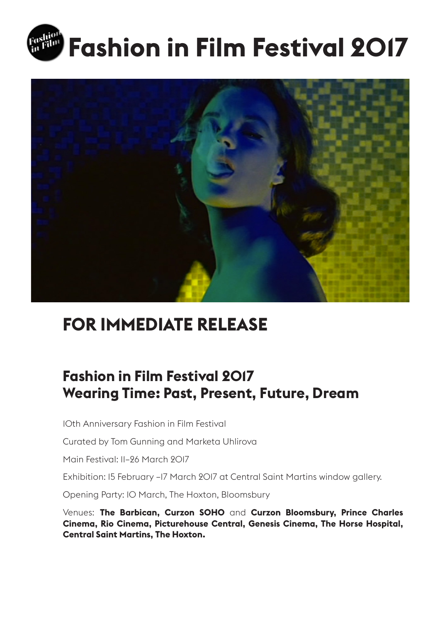



# **FOR IMMEDIATE RELEASE**

## **Fashion in Film Festival 2017 Wearing Time: Past, Present, Future, Dream**

10th Anniversary Fashion in Film Festival

Curated by Tom Gunning and Marketa Uhlirova

Main Festival: 11–26 March 2017

Exhibition: 15 February –17 March 2017 at Central Saint Martins window gallery.

Opening Party: 10 March, The Hoxton, Bloomsbury

Venues: **The Barbican, Curzon SOHO** and **Curzon Bloomsbury, Prince Charles Cinema, Rio Cinema, Picturehouse Central, Genesis Cinema, The Horse Hospital, Central Saint Martins, The Hoxton.**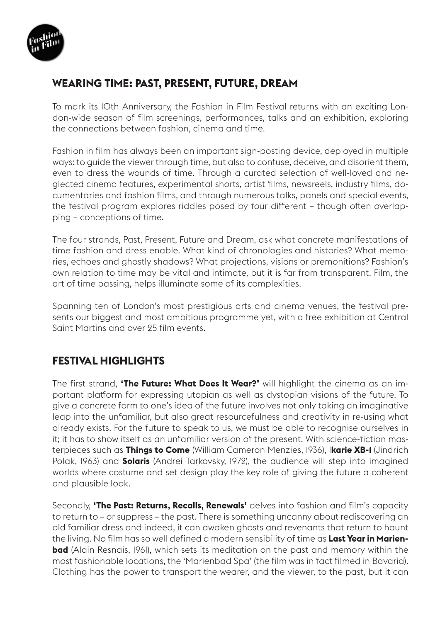

### **WEARING TIME: PAST, PRESENT, FUTURE, DREAM**

To mark its 10th Anniversary, the Fashion in Film Festival returns with an exciting London-wide season of film screenings, performances, talks and an exhibition, exploring the connections between fashion, cinema and time.

Fashion in film has always been an important sign-posting device, deployed in multiple ways: to guide the viewer through time, but also to confuse, deceive, and disorient them, even to dress the wounds of time. Through a curated selection of well-loved and neglected cinema features, experimental shorts, artist films, newsreels, industry films, documentaries and fashion films, and through numerous talks, panels and special events, the festival program explores riddles posed by four different – though often overlapping – conceptions of time.

The four strands, Past, Present, Future and Dream, ask what concrete manifestations of time fashion and dress enable. What kind of chronologies and histories? What memories, echoes and ghostly shadows? What projections, visions or premonitions? Fashion's own relation to time may be vital and intimate, but it is far from transparent. Film, the art of time passing, helps illuminate some of its complexities.

Spanning ten of London's most prestigious arts and cinema venues, the festival presents our biggest and most ambitious programme yet, with a free exhibition at Central Saint Martins and over 25 film events.

### **FESTIVAL HIGHLIGHTS**

The first strand, **'The Future: What Does It Wear?'** will highlight the cinema as an important platform for expressing utopian as well as dystopian visions of the future. To give a concrete form to one's idea of the future involves not only taking an imaginative leap into the unfamiliar, but also great resourcefulness and creativity in re-using what already exists. For the future to speak to us, we must be able to recognise ourselves in it; it has to show itself as an unfamiliar version of the present. With science-fiction masterpieces such as **Things to Come** (William Cameron Menzies, 1936), I**karie XB-1** (Jindrich Polak, 1963) and **Solaris** (Andrei Tarkovsky, 1972), the audience will step into imagined worlds where costume and set design play the key role of giving the future a coherent and plausible look.

Secondly, **'The Past: Returns, Recalls, Renewals'** delves into fashion and film's capacity to return to – or suppress – the past. There is something uncanny about rediscovering an old familiar dress and indeed, it can awaken ghosts and revenants that return to haunt the living. No film has so well defined a modern sensibility of time as **Last Year in Marienbad** (Alain Resnais, 1961), which sets its meditation on the past and memory within the most fashionable locations, the 'Marienbad Spa' (the film was in fact filmed in Bavaria). Clothing has the power to transport the wearer, and the viewer, to the past, but it can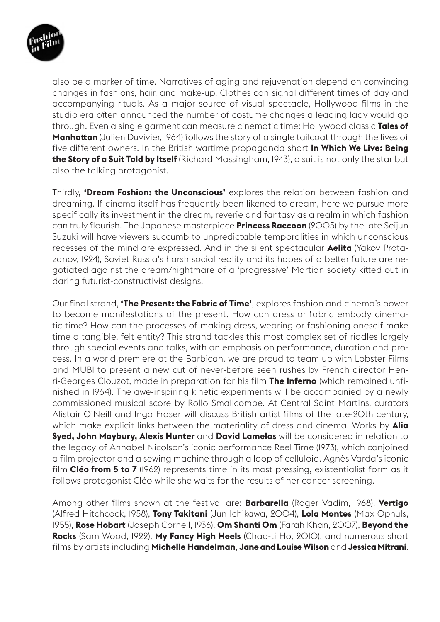

also be a marker of time. Narratives of aging and rejuvenation depend on convincing changes in fashions, hair, and make-up. Clothes can signal different times of day and accompanying rituals. As a major source of visual spectacle, Hollywood films in the studio era often announced the number of costume changes a leading lady would go through. Even a single garment can measure cinematic time: Hollywood classic **Tales of Manhattan** (Julien Duvivier, 1964) follows the story of a single tailcoat through the lives of five different owners. In the British wartime propaganda short **In Which We Live: Being the Story of a Suit Told by Itself** (Richard Massingham, 1943), a suit is not only the star but also the talking protagonist.

Thirdly, **'Dream Fashion: the Unconscious'** explores the relation between fashion and dreaming. If cinema itself has frequently been likened to dream, here we pursue more specifically its investment in the dream, reverie and fantasy as a realm in which fashion can truly flourish. The Japanese masterpiece **Princess Raccoon** (2005) by the late Seijun Suzuki will have viewers succumb to unpredictable temporalities in which unconscious recesses of the mind are expressed. And in the silent spectacular **Aelita** (Yakov Protazanov, 1924), Soviet Russia's harsh social reality and its hopes of a better future are negotiated against the dream/nightmare of a 'progressive' Martian society kitted out in daring futurist-constructivist designs.

Our final strand, **'The Present: the Fabric of Time'**, explores fashion and cinema's power to become manifestations of the present. How can dress or fabric embody cinematic time? How can the processes of making dress, wearing or fashioning oneself make time a tangible, felt entity? This strand tackles this most complex set of riddles largely through special events and talks, with an emphasis on performance, duration and process. In a world premiere at the Barbican, we are proud to team up with Lobster Films and MUBI to present a new cut of never-before seen rushes by French director Henri-Georges Clouzot, made in preparation for his film **The Inferno** (which remained unfinished in 1964). The awe-inspiring kinetic experiments will be accompanied by a newly commissioned musical score by Rollo Smallcombe. At Central Saint Martins, curators Alistair O'Neill and Inga Fraser will discuss British artist films of the late-20th century, which make explicit links between the materiality of dress and cinema. Works by **Alia Syed, John Maybury, Alexis Hunter** and **David Lamelas** will be considered in relation to the legacy of Annabel Nicolson's iconic performance Reel Time (1973), which conjoined a film projector and a sewing machine through a loop of celluloid. Agnès Varda's iconic film **Cléo from 5 to 7** (1962) represents time in its most pressing, existentialist form as it follows protagonist Cléo while she waits for the results of her cancer screening.

Among other films shown at the festival are: **Barbarella** (Roger Vadim, 1968), **Vertigo** (Alfred Hitchcock, 1958), **Tony Takitani** (Jun Ichikawa, 2004), **Lola Montes** (Max Ophuls, 1955), **Rose Hobart** (Joseph Cornell, 1936), **Om Shanti Om** (Farah Khan, 2007), **Beyond the Rocks** (Sam Wood, 1922), **My Fancy High Heels** (Chao-ti Ho, 2010), and numerous short films by artists including **Michelle Handelman**, **Jane and Louise Wilson** and **Jessica Mitrani**.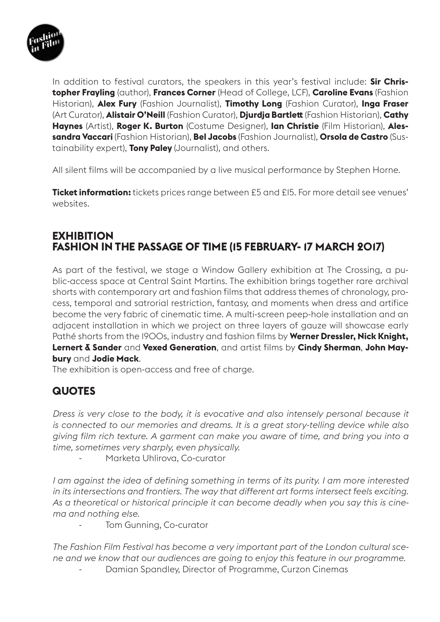

In addition to festival curators, the speakers in this year's festival include: **Sir Christopher Frayling** (author), **Frances Corner** (Head of College, LCF), **Caroline Evans** (Fashion Historian), **Alex Fury** (Fashion Journalist), **Timothy Long** (Fashion Curator), **Inga Fraser** (Art Curator), **Alistair O'Neill** (Fashion Curator), **Djurdja Bartlett** (Fashion Historian), **Cathy Haynes** (Artist), **Roger K. Burton** (Costume Designer), **Ian Christie** (Film Historian), **Alessandra Vaccari** (Fashion Historian), **Bel Jacobs** (Fashion Journalist), **Orsola de Castro** (Sustainability expert), **Tony Paley** (Journalist), and others.

All silent films will be accompanied by a live musical performance by Stephen Horne.

**Ticket information:** tickets prices range between £5 and £15. For more detail see venues' websites.

#### **EXHIBITION FASHION IN THE PASSAGE OF TIME (15 FEBRUARY- 17 MARCH 2017)**

As part of the festival, we stage a Window Gallery exhibition at The Crossing, a public-access space at Central Saint Martins. The exhibition brings together rare archival shorts with contemporary art and fashion films that address themes of chronology, process, temporal and satrorial restriction, fantasy, and moments when dress and artifice become the very fabric of cinematic time. A multi-screen peep-hole installation and an adjacent installation in which we project on three layers of gauze will showcase early Pathé shorts from the 1900s, industry and fashion films by **Werner Dressler, Nick Knight, Lernert & Sander** and **Vexed Generation**, and artist films by **Cindy Sherman**, **John Maybury** and **Jodie Mack**.

The exhibition is open-access and free of charge.

#### **QUOTES**

*Dress is very close to the body, it is evocative and also intensely personal because it is connected to our memories and dreams. It is a great story-telling device while also giving film rich texture. A garment can make you aware of time, and bring you into a time, sometimes very sharply, even physically.*

Marketa Uhlirova, Co-curator

*I am against the idea of defining something in terms of its purity. I am more interested in its intersections and frontiers. The way that different art forms intersect feels exciting. As a theoretical or historical principle it can become deadly when you say this is cinema and nothing else.*

Tom Gunning, Co-curator

*The Fashion Film Festival has become a very important part of the London cultural scene and we know that our audiences are going to enjoy this feature in our programme.*

Damian Spandley, Director of Programme, Curzon Cinemas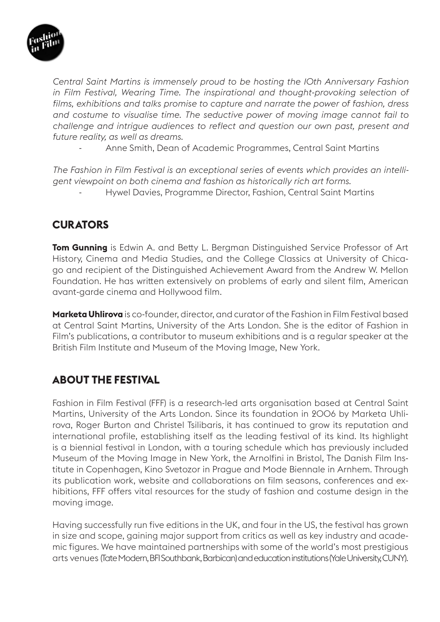

*Central Saint Martins is immensely proud to be hosting the 10th Anniversary Fashion*  in Film Festival, Wearing Time. The inspirational and thought-provoking selection of *films, exhibitions and talks promise to capture and narrate the power of fashion, dress and costume to visualise time. The seductive power of moving image cannot fail to challenge and intrigue audiences to reflect and question our own past, present and future reality, as well as dreams.*

- Anne Smith, Dean of Academic Programmes, Central Saint Martins

*The Fashion in Film Festival is an exceptional series of events which provides an intelligent viewpoint on both cinema and fashion as historically rich art forms.* - Hywel Davies, Programme Director, Fashion, Central Saint Martins

### **CURATORS**

**Tom Gunning** is Edwin A. and Betty L. Bergman Distinguished Service Professor of Art History, Cinema and Media Studies, and the College Classics at University of Chicago and recipient of the Distinguished Achievement Award from the Andrew W. Mellon Foundation. He has written extensively on problems of early and silent film, American avant-garde cinema and Hollywood film.

**Marketa Uhlirova** is co-founder, director, and curator of the Fashion in Film Festival based at Central Saint Martins, University of the Arts London. She is the editor of Fashion in Film's publications, a contributor to museum exhibitions and is a regular speaker at the British Film Institute and Museum of the Moving Image, New York.

### **ABOUT THE FESTIVAL**

Fashion in Film Festival (FFF) is a research-led arts organisation based at Central Saint Martins, University of the Arts London. Since its foundation in 2006 by Marketa Uhlirova, Roger Burton and Christel Tsilibaris, it has continued to grow its reputation and international profile, establishing itself as the leading festival of its kind. Its highlight is a biennial festival in London, with a touring schedule which has previously included Museum of the Moving Image in New York, the Arnolfini in Bristol, The Danish Film Institute in Copenhagen, Kino Svetozor in Prague and Mode Biennale in Arnhem. Through its publication work, website and collaborations on film seasons, conferences and exhibitions, FFF offers vital resources for the study of fashion and costume design in the moving image.

Having successfully run five editions in the UK, and four in the US, the festival has grown in size and scope, gaining major support from critics as well as key industry and academic figures. We have maintained partnerships with some of the world's most prestigious arts venues (Tate Modern, BFI Southbank, Barbican) and education institutions (Yale University, CUNY).